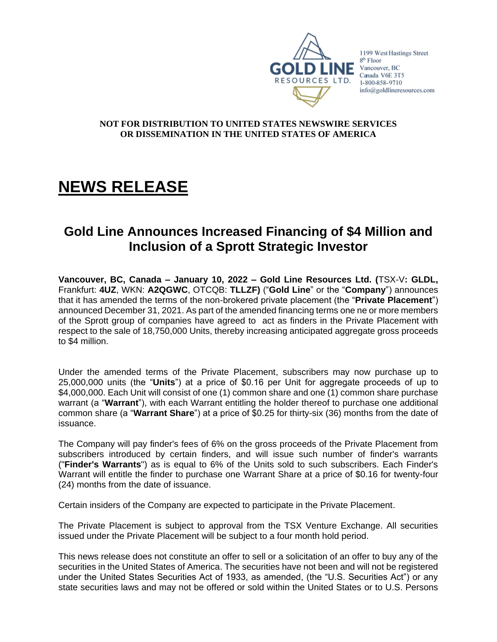

1199 West Hastings Street  $8<sup>th</sup>$  Floor  $\blacksquare$  NE Vancouver, BC Canada V6E 3T5 1-800-858-9710 info@goldlineresources.com

#### **NOT FOR DISTRIBUTION TO UNITED STATES NEWSWIRE SERVICES OR DISSEMINATION IN THE UNITED STATES OF AMERICA**

# **NEWS RELEASE**

# **Gold Line Announces Increased Financing of \$4 Million and Inclusion of a Sprott Strategic Investor**

**Vancouver, BC, Canada – January 10, 2022 – Gold Line Resources Ltd. (**TSX-V**: GLDL,**  Frankfurt: **4UZ**, WKN: **A2QGWC**, OTCQB: **TLLZF)** ("**Gold Line**" or the "**Company**") announces that it has amended the terms of the non-brokered private placement (the "**Private Placement**") announced December 31, 2021. As part of the amended financing terms one ne or more members of the Sprott group of companies have agreed to act as finders in the Private Placement with respect to the sale of 18,750,000 Units, thereby increasing anticipated aggregate gross proceeds to \$4 million.

Under the amended terms of the Private Placement, subscribers may now purchase up to 25,000,000 units (the "**Units**") at a price of \$0.16 per Unit for aggregate proceeds of up to \$4,000,000. Each Unit will consist of one (1) common share and one (1) common share purchase warrant (a "**Warrant**"), with each Warrant entitling the holder thereof to purchase one additional common share (a "**Warrant Share**") at a price of \$0.25 for thirty-six (36) months from the date of issuance.

The Company will pay finder's fees of 6% on the gross proceeds of the Private Placement from subscribers introduced by certain finders, and will issue such number of finder's warrants ("**Finder's Warrants**") as is equal to 6% of the Units sold to such subscribers. Each Finder's Warrant will entitle the finder to purchase one Warrant Share at a price of \$0.16 for twenty-four (24) months from the date of issuance.

Certain insiders of the Company are expected to participate in the Private Placement.

The Private Placement is subject to approval from the TSX Venture Exchange. All securities issued under the Private Placement will be subject to a four month hold period.

This news release does not constitute an offer to sell or a solicitation of an offer to buy any of the securities in the United States of America. The securities have not been and will not be registered under the United States Securities Act of 1933, as amended, (the "U.S. Securities Act") or any state securities laws and may not be offered or sold within the United States or to U.S. Persons